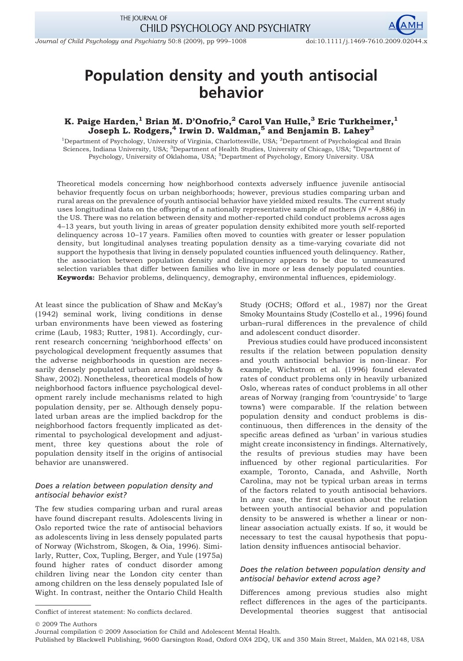Journal of Child Psychology and Psychiatry 50:8 (2009), pp 999-1008 doi:10.1111/j.1469-7610.2009.02

# Population density and youth antisocial behavior

# K. Paige Harden, $^1$  Brian M. D'Onofrio, $^2$  Carol Van Hulle, $^3$  Eric Turkheimer, $^1$ Joseph L. Rodgers, $^4$  Irwin D. Waldman, $^5$  and Benjamin B. Lahey $^3$

<sup>1</sup>Department of Psychology, University of Virginia, Charlottesville, USA; <sup>2</sup>Department of Psychological and Brain Sciences, Indiana University, USA; <sup>3</sup>Department of Health Studies, University of Chicago, USA; <sup>4</sup>Department of Psychology, University of Oklahoma, USA; <sup>5</sup>Department of Psychology, Emory University. USA

Theoretical models concerning how neighborhood contexts adversely influence juvenile antisocial behavior frequently focus on urban neighborhoods; however, previous studies comparing urban and rural areas on the prevalence of youth antisocial behavior have yielded mixed results. The current study uses longitudinal data on the offspring of a nationally representative sample of mothers  $(N = 4,886)$  in the US. There was no relation between density and mother-reported child conduct problems across ages 4–13 years, but youth living in areas of greater population density exhibited more youth self-reported delinquency across 10–17 years. Families often moved to counties with greater or lesser population density, but longitudinal analyses treating population density as a time-varying covariate did not support the hypothesis that living in densely populated counties influenced youth delinquency. Rather, the association between population density and delinquency appears to be due to unmeasured selection variables that differ between families who live in more or less densely populated counties. Keywords: Behavior problems, delinquency, demography, environmental influences, epidemiology.

At least since the publication of Shaw and McKay's (1942) seminal work, living conditions in dense urban environments have been viewed as fostering crime (Laub, 1983; Rutter, 1981). Accordingly, current research concerning 'neighborhood effects' on psychological development frequently assumes that the adverse neighborhoods in question are necessarily densely populated urban areas (Ingoldsby & Shaw, 2002). Nonetheless, theoretical models of how neighborhood factors influence psychological development rarely include mechanisms related to high population density, per se. Although densely populated urban areas are the implied backdrop for the neighborhood factors frequently implicated as detrimental to psychological development and adjustment, three key questions about the role of population density itself in the origins of antisocial behavior are unanswered.

# Does a relation between population density and antisocial behavior exist?

The few studies comparing urban and rural areas have found discrepant results. Adolescents living in Oslo reported twice the rate of antisocial behaviors as adolescents living in less densely populated parts of Norway (Wichstrom, Skogen, & Oia, 1996). Similarly, Rutter, Cox, Tupling, Berger, and Yule (1975a) found higher rates of conduct disorder among children living near the London city center than among children on the less densely populated Isle of Wight. In contrast, neither the Ontario Child Health

Study (OCHS; Offord et al., 1987) nor the Great Smoky Mountains Study (Costello et al., 1996) found urban–rural differences in the prevalence of child and adolescent conduct disorder.

Previous studies could have produced inconsistent results if the relation between population density and youth antisocial behavior is non-linear. For example, Wichstrom et al. (1996) found elevated rates of conduct problems only in heavily urbanized Oslo, whereas rates of conduct problems in all other areas of Norway (ranging from 'countryside' to 'large towns') were comparable. If the relation between population density and conduct problems is discontinuous, then differences in the density of the specific areas defined as 'urban' in various studies might create inconsistency in findings. Alternatively, the results of previous studies may have been influenced by other regional particularities. For example, Toronto, Canada, and Ashville, North Carolina, may not be typical urban areas in terms of the factors related to youth antisocial behaviors. In any case, the first question about the relation between youth antisocial behavior and population density to be answered is whether a linear or nonlinear association actually exists. If so, it would be necessary to test the causal hypothesis that population density influences antisocial behavior.

# Does the relation between population density and antisocial behavior extend across age?

Differences among previous studies also might reflect differences in the ages of the participants. Conflict of interest statement: No conflicts declared. Developmental theories suggest that antisocial

<sup>@ 2009</sup> The Authors

Journal compilation @ 2009 Association for Child and Adolescent Mental Health. Published by Blackwell Publishing, 9600 Garsington Road, Oxford OX4 2DQ, UK and 350 Main Street, Malden, MA 02148, USA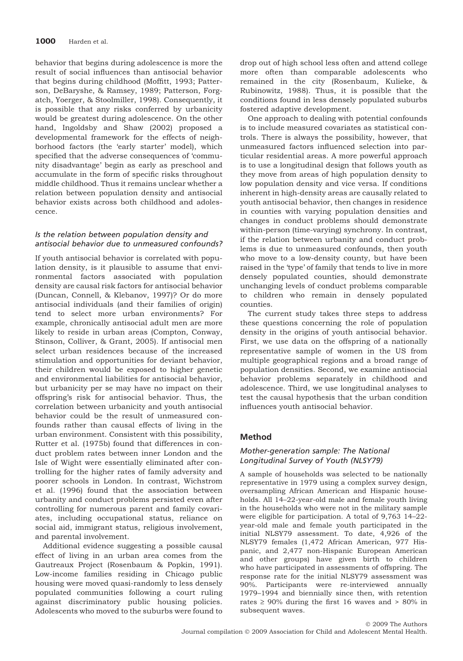behavior that begins during adolescence is more the result of social influences than antisocial behavior that begins during childhood (Moffitt, 1993; Patterson, DeBaryshe, & Ramsey, 1989; Patterson, Forgatch, Yoerger, & Stoolmiller, 1998). Consequently, it is possible that any risks conferred by urbanicity would be greatest during adolescence. On the other hand, Ingoldsby and Shaw (2002) proposed a developmental framework for the effects of neighborhood factors (the 'early starter' model), which specified that the adverse consequences of 'community disadvantage' begin as early as preschool and accumulate in the form of specific risks throughout middle childhood. Thus it remains unclear whether a relation between population density and antisocial behavior exists across both childhood and adolescence.

# Is the relation between population density and antisocial behavior due to unmeasured confounds?

If youth antisocial behavior is correlated with population density, is it plausible to assume that environmental factors associated with population density are causal risk factors for antisocial behavior (Duncan, Connell, & Klebanov, 1997)? Or do more antisocial individuals (and their families of origin) tend to select more urban environments? For example, chronically antisocial adult men are more likely to reside in urban areas (Compton, Conway, Stinson, Colliver, & Grant, 2005). If antisocial men select urban residences because of the increased stimulation and opportunities for deviant behavior, their children would be exposed to higher genetic and environmental liabilities for antisocial behavior, but urbanicity per se may have no impact on their offspring's risk for antisocial behavior. Thus, the correlation between urbanicity and youth antisocial behavior could be the result of unmeasured confounds rather than causal effects of living in the urban environment. Consistent with this possibility, Rutter et al. (1975b) found that differences in conduct problem rates between inner London and the Isle of Wight were essentially eliminated after controlling for the higher rates of family adversity and poorer schools in London. In contrast, Wichstrom et al. (1996) found that the association between urbanity and conduct problems persisted even after controlling for numerous parent and family covariates, including occupational status, reliance on social aid, immigrant status, religious involvement, and parental involvement.

Additional evidence suggesting a possible causal effect of living in an urban area comes from the Gautreaux Project (Rosenbaum & Popkin, 1991). Low-income families residing in Chicago public housing were moved quasi-randomly to less densely populated communities following a court ruling against discriminatory public housing policies. Adolescents who moved to the suburbs were found to drop out of high school less often and attend college more often than comparable adolescents who remained in the city (Rosenbaum, Kulieke, & Rubinowitz, 1988). Thus, it is possible that the conditions found in less densely populated suburbs fostered adaptive development.

One approach to dealing with potential confounds is to include measured covariates as statistical controls. There is always the possibility, however, that unmeasured factors influenced selection into particular residential areas. A more powerful approach is to use a longitudinal design that follows youth as they move from areas of high population density to low population density and vice versa. If conditions inherent in high-density areas are causally related to youth antisocial behavior, then changes in residence in counties with varying population densities and changes in conduct problems should demonstrate within-person (time-varying) synchrony. In contrast, if the relation between urbanity and conduct problems is due to unmeasured confounds, then youth who move to a low-density county, but have been raised in the 'type' of family that tends to live in more densely populated counties, should demonstrate unchanging levels of conduct problems comparable to children who remain in densely populated counties.

The current study takes three steps to address these questions concerning the role of population density in the origins of youth antisocial behavior. First, we use data on the offspring of a nationally representative sample of women in the US from multiple geographical regions and a broad range of population densities. Second, we examine antisocial behavior problems separately in childhood and adolescence. Third, we use longitudinal analyses to test the causal hypothesis that the urban condition influences youth antisocial behavior.

# Method

# Mother-generation sample: The National Longitudinal Survey of Youth (NLSY79)

A sample of households was selected to be nationally representative in 1979 using a complex survey design, oversampling African American and Hispanic households. All 14–22-year-old male and female youth living in the households who were not in the military sample were eligible for participation. A total of 9,763 14–22 year-old male and female youth participated in the initial NLSY79 assessment. To date, 4,926 of the NLSY79 females (1,472 African American, 977 Hispanic, and 2,477 non-Hispanic European American and other groups) have given birth to children who have participated in assessments of offspring. The response rate for the initial NLSY79 assessment was 90%. Participants were re-interviewed annually 1979–1994 and biennially since then, with retention rates  $\geq$  90% during the first 16 waves and  $>$  80% in subsequent waves.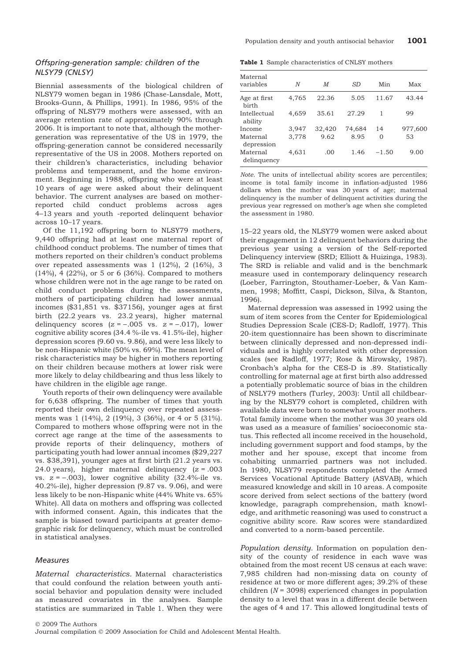Biennial assessments of the biological children of NLSY79 women began in 1986 (Chase-Lansdale, Mott, Brooks-Gunn, & Phillips, 1991). In 1986, 95% of the offspring of NLSY79 mothers were assessed, with an average retention rate of approximately 90% through 2006. It is important to note that, although the mothergeneration was representative of the US in 1979, the offspring-generation cannot be considered necessarily representative of the US in 2008. Mothers reported on their children's characteristics, including behavior problems and temperament, and the home environment. Beginning in 1988, offspring who were at least 10 years of age were asked about their delinquent behavior. The current analyses are based on motherreported child conduct problems across ages 4–13 years and youth -reported delinquent behavior across 10–17 years.

Of the 11,192 offspring born to NLSY79 mothers, 9,440 offspring had at least one maternal report of childhood conduct problems. The number of times that mothers reported on their children's conduct problems over repeated assessments was 1 (12%), 2 (16%), 3 (14%), 4 (22%), or 5 or 6 (36%). Compared to mothers whose children were not in the age range to be rated on child conduct problems during the assessments, mothers of participating children had lower annual incomes (\$31,851 vs. \$37156), younger ages at first birth (22.2 years vs. 23.2 years), higher maternal delinquency scores  $(z = -.005 \text{ vs. } z = -.017)$ , lower cognitive ability scores (34.4 %-ile vs. 41.5%-ile), higher depression scores (9.60 vs. 9.86), and were less likely to be non-Hispanic white (50% vs. 69%). The mean level of risk characteristics may be higher in mothers reporting on their children because mothers at lower risk were more likely to delay childbearing and thus less likely to have children in the eligible age range.

Youth reports of their own delinquency were available for 6,638 offspring. The number of times that youth reported their own delinquency over repeated assessments was 1 (14%), 2 (19%), 3 (36%), or 4 or 5 (31%). Compared to mothers whose offspring were not in the correct age range at the time of the assessments to provide reports of their delinquency, mothers of participating youth had lower annual incomes (\$29,227 vs. \$38,391), younger ages at first birth (21.2 years vs. 24.0 years), higher maternal delinquency  $(z = .003$ vs.  $z = -.003$ , lower cognitive ability (32.4%-ile vs. 40.2%-ile), higher depression (9.87 vs. 9.06), and were less likely to be non-Hispanic white (44% White vs. 65% White). All data on mothers and offspring was collected with informed consent. Again, this indicates that the sample is biased toward participants at greater demographic risk for delinquency, which must be controlled in statistical analyses.

# Measures

Maternal characteristics. Maternal characteristics that could confound the relation between youth antisocial behavior and population density were included as measured covariates in the analyses. Sample statistics are summarized in Table 1. When they were

Table 1 Sample characteristics of CNLSY mothers

| Maternal                |       |        |           |         |         |
|-------------------------|-------|--------|-----------|---------|---------|
| variables               | N     | M      | <b>SD</b> | Min     | Max     |
| Age at first<br>birth   | 4,765 | 22.36  | 5.05      | 11.67   | 43.44   |
| Intellectual<br>ability | 4,659 | 35.61  | 27.29     | 1       | 99      |
| Income                  | 3,947 | 32,420 | 74,684    | 14      | 977,600 |
| Maternal<br>depression  | 3,778 | 9.62   | 8.95      | Ω       | 53      |
| Maternal<br>delinquency | 4,631 | .00    | 1.46      | $-1.50$ | 9.00    |

Note. The units of intellectual ability scores are percentiles; income is total family income in inflation-adjusted 1986 dollars when the mother was 30 years of age; maternal delinquency is the number of delinquent activities during the previous year regressed on mother's age when she completed the assessment in 1980.

15–22 years old, the NLSY79 women were asked about their engagement in 12 delinquent behaviors during the previous year using a version of the Self-reported Delinquency interview (SRD; Elliott & Huizinga, 1983). The SRD is reliable and valid and is the benchmark measure used in contemporary delinquency research (Loeber, Farrington, Stouthamer-Loeber, & Van Kammen, 1998; Moffitt, Caspi, Dickson, Silva, & Stanton, 1996).

Maternal depression was assessed in 1992 using the sum of item scores from the Center for Epidemiological Studies Depression Scale (CES-D; Radloff, 1977). This 20-item questionnaire has been shown to discriminate between clinically depressed and non-depressed individuals and is highly correlated with other depression scales (see Radloff, 1977; Rose & Mirowsky, 1987). Cronbach's alpha for the CES-D is .89. Statistically controlling for maternal age at first birth also addressed a potentially problematic source of bias in the children of NSLY79 mothers (Turley, 2003): Until all childbearing by the NLSY79 cohort is completed, children with available data were born to somewhat younger mothers. Total family income when the mother was 30 years old was used as a measure of families' socioeconomic status. This reflected all income received in the household, including government support and food stamps, by the mother and her spouse, except that income from cohabiting unmarried partners was not included. In 1980, NLSY79 respondents completed the Armed Services Vocational Aptitude Battery (ASVAB), which measured knowledge and skill in 10 areas. A composite score derived from select sections of the battery (word knowledge, paragraph comprehension, math knowledge, and arithmetic reasoning) was used to construct a cognitive ability score. Raw scores were standardized and converted to a norm-based percentile.

Population density. Information on population density of the county of residence in each wave was obtained from the most recent US census at each wave: 7,985 children had non-missing data on county of residence at two or more different ages; 39.2% of these children ( $N = 3098$ ) experienced changes in population density to a level that was in a different decile between the ages of 4 and 17. This allowed longitudinal tests of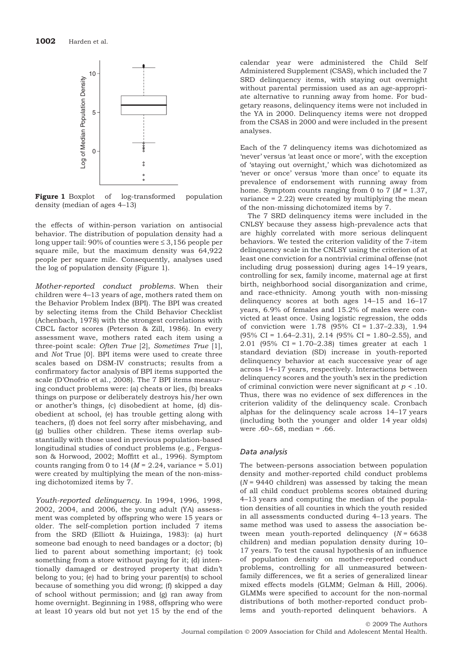

Figure 1 Boxplot of log-transformed population density (median of ages 4–13)

the effects of within-person variation on antisocial behavior. The distribution of population density had a long upper tail: 90% of counties were  $\leq$  3,156 people per square mile, but the maximum density was 64,922 people per square mile. Consequently, analyses used the log of population density (Figure 1).

Mother-reported conduct problems. When their children were 4–13 years of age, mothers rated them on the Behavior Problem Index (BPI). The BPI was created by selecting items from the Child Behavior Checklist (Achenbach, 1978) with the strongest correlations with CBCL factor scores (Peterson & Zill, 1986). In every assessment wave, mothers rated each item using a three-point scale: Often True [2], Sometimes True [1], and Not True [0]. BPI items were used to create three scales based on DSM-IV constructs; results from a confirmatory factor analysis of BPI items supported the scale (D'Onofrio et al., 2008). The 7 BPI items measuring conduct problems were: (a) cheats or lies, (b) breaks things on purpose or deliberately destroys his/her own or another's things, (c) disobedient at home, (d) disobedient at school, (e) has trouble getting along with teachers, (f) does not feel sorry after misbehaving, and (g) bullies other children. These items overlap substantially with those used in previous population-based longitudinal studies of conduct problems (e.g., Fergusson & Horwood, 2002; Moffitt et al., 1996). Symptom counts ranging from 0 to 14 ( $M = 2.24$ , variance = 5.01) were created by multiplying the mean of the non-missing dichotomized items by 7.

Youth-reported delinquency. In 1994, 1996, 1998, 2002, 2004, and 2006, the young adult (YA) assessment was completed by offspring who were 15 years or older. The self-completion portion included 7 items from the SRD (Elliott & Huizinga, 1983): (a) hurt someone bad enough to need bandages or a doctor; (b) lied to parent about something important; (c) took something from a store without paying for it; (d) intentionally damaged or destroyed property that didn't belong to you; (e) had to bring your parent(s) to school because of something you did wrong; (f) skipped a day of school without permission; and (g) ran away from home overnight. Beginning in 1988, offspring who were at least 10 years old but not yet 15 by the end of the calendar year were administered the Child Self Administered Supplement (CSAS), which included the 7 SRD delinquency items, with staying out overnight without parental permission used as an age-appropriate alternative to running away from home. For budgetary reasons, delinquency items were not included in the YA in 2000. Delinquency items were not dropped from the CSAS in 2000 and were included in the present analyses.

Each of the 7 delinquency items was dichotomized as 'never' versus 'at least once or more', with the exception of 'staying out overnight,' which was dichotomized as 'never or once' versus 'more than once' to equate its prevalence of endorsement with running away from home. Symptom counts ranging from 0 to 7  $(M = 1.37)$ , variance  $= 2.22$ ) were created by multiplying the mean of the non-missing dichotomized items by 7.

The 7 SRD delinquency items were included in the CNLSY because they assess high-prevalence acts that are highly correlated with more serious delinquent behaviors. We tested the criterion validity of the 7-item delinquency scale in the CNLSY using the criterion of at least one conviction for a nontrivial criminal offense (not including drug possession) during ages 14–19 years, controlling for sex, family income, maternal age at first birth, neighborhood social disorganization and crime, and race-ethnicity. Among youth with non-missing delinquency scores at both ages 14–15 and 16–17 years, 6.9% of females and 15.2% of males were convicted at least once. Using logistic regression, the odds of conviction were 1.78 (95% CI = 1.37–2.33), 1.94 (95% CI = 1.64–2.31), 2.14 (95% CI = 1.80–2.55), and 2.01 (95% CI = 1.70–2.38) times greater at each 1 standard deviation (SD) increase in youth-reported delinquency behavior at each successive year of age across 14–17 years, respectively. Interactions between delinquency scores and the youth's sex in the prediction of criminal conviction were never significant at  $p < 0.10$ . Thus, there was no evidence of sex differences in the criterion validity of the delinquency scale. Cronbach alphas for the delinquency scale across 14–17 years (including both the younger and older 14 year olds) were .60–.68, median = .66.

#### Data analysis

The between-persons association between population density and mother-reported child conduct problems  $(N = 9440$  children) was assessed by taking the mean of all child conduct problems scores obtained during 4–13 years and computing the median of the population densities of all counties in which the youth resided in all assessments conducted during 4–13 years. The same method was used to assess the association between mean youth-reported delinquency  $(N = 6638)$ children) and median population density during 10– 17 years. To test the causal hypothesis of an influence of population density on mother-reported conduct problems, controlling for all unmeasured betweenfamily differences, we fit a series of generalized linear mixed effects models (GLMM; Gelman & Hill, 2006). GLMMs were specified to account for the non-normal distributions of both mother-reported conduct problems and youth-reported delinquent behaviors. A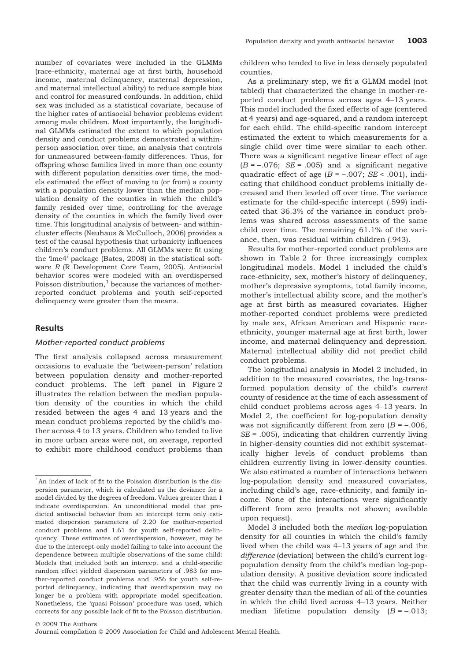number of covariates were included in the GLMMs (race-ethnicity, maternal age at first birth, household income, maternal delinquency, maternal depression, and maternal intellectual ability) to reduce sample bias and control for measured confounds. In addition, child sex was included as a statistical covariate, because of the higher rates of antisocial behavior problems evident among male children. Most importantly, the longitudinal GLMMs estimated the extent to which population density and conduct problems demonstrated a withinperson association over time, an analysis that controls for unmeasured between-family differences. Thus, for offspring whose families lived in more than one county with different population densities over time, the models estimated the effect of moving to (or from) a county with a population density lower than the median population density of the counties in which the child's family resided over time, controlling for the average density of the counties in which the family lived over time. This longitudinal analysis of between- and withincluster effects (Neuhaus & McCulloch, 2006) provides a test of the causal hypothesis that urbanicity influences children's conduct problems. All GLMMs were fit using the 'lme4' package (Bates, 2008) in the statistical software R (R Development Core Team, 2005). Antisocial behavior scores were modeled with an overdispersed Poisson distribution, $<sup>1</sup>$  because the variances of mother-</sup> reported conduct problems and youth self-reported delinquency were greater than the means.

#### Results

#### Mother-reported conduct problems

The first analysis collapsed across measurement occasions to evaluate the 'between-person' relation between population density and mother-reported conduct problems. The left panel in Figure 2 illustrates the relation between the median population density of the counties in which the child resided between the ages 4 and 13 years and the mean conduct problems reported by the child's mother across 4 to 13 years. Children who tended to live in more urban areas were not, on average, reported to exhibit more childhood conduct problems than

children who tended to live in less densely populated counties.

As a preliminary step, we fit a GLMM model (not tabled) that characterized the change in mother-reported conduct problems across ages 4–13 years. This model included the fixed effects of age (centered at 4 years) and age-squared, and a random intercept for each child. The child-specific random intercept estimated the extent to which measurements for a single child over time were similar to each other. There was a significant negative linear effect of age  $(B = -.076; SE = .005)$  and a significant negative quadratic effect of age  $(B = -.007; SE < .001)$ , indicating that childhood conduct problems initially decreased and then leveled off over time. The variance estimate for the child-specific intercept (.599) indicated that 36.3% of the variance in conduct problems was shared across assessments of the same child over time. The remaining 61.1% of the variance, then, was residual within children (.943).

Results for mother-reported conduct problems are shown in Table 2 for three increasingly complex longitudinal models. Model 1 included the child's race-ethnicity, sex, mother's history of delinquency, mother's depressive symptoms, total family income, mother's intellectual ability score, and the mother's age at first birth as measured covariates. Higher mother-reported conduct problems were predicted by male sex, African American and Hispanic raceethnicity, younger maternal age at first birth, lower income, and maternal delinquency and depression. Maternal intellectual ability did not predict child conduct problems.

The longitudinal analysis in Model 2 included, in addition to the measured covariates, the log-transformed population density of the child's current county of residence at the time of each assessment of child conduct problems across ages 4–13 years. In Model 2, the coefficient for log-population density was not significantly different from zero  $(B = -.006, )$  $SE = .005$ ), indicating that children currently living in higher-density counties did not exhibit systematically higher levels of conduct problems than children currently living in lower-density counties. We also estimated a number of interactions between log-population density and measured covariates, including child's age, race-ethnicity, and family income. None of the interactions were significantly different from zero (results not shown; available upon request).

Model 3 included both the median log-population density for all counties in which the child's family lived when the child was 4–13 years of age and the difference (deviation) between the child's current logpopulation density from the child's median log-population density. A positive deviation score indicated that the child was currently living in a county with greater density than the median of all of the counties in which the child lived across 4–13 years. Neither median lifetime population density  $(B = -.013;$ 

 $1$  An index of lack of fit to the Poission distribution is the dispersion parameter, which is calculated as the deviance for a model divided by the degrees of freedom. Values greater than 1 indicate overdispersion. An unconditional model that predicted antisocial behavior from an intercept term only estimated dispersion parameters of 2.20 for mother-reported conduct problems and 1.61 for youth self-reported delinquency. These estimates of overdispersion, however, may be due to the intercept-only model failing to take into account the dependence between multiple observations of the same child: Models that included both an intercept and a child-specific random effect yielded dispersion parameters of .983 for mother-reported conduct problems and .956 for youth self-reported delinquency, indicating that overdispersion may no longer be a problem with appropriate model specification. Nonetheless, the 'quasi-Poisson' procedure was used, which corrects for any possible lack of fit to the Poisson distribution.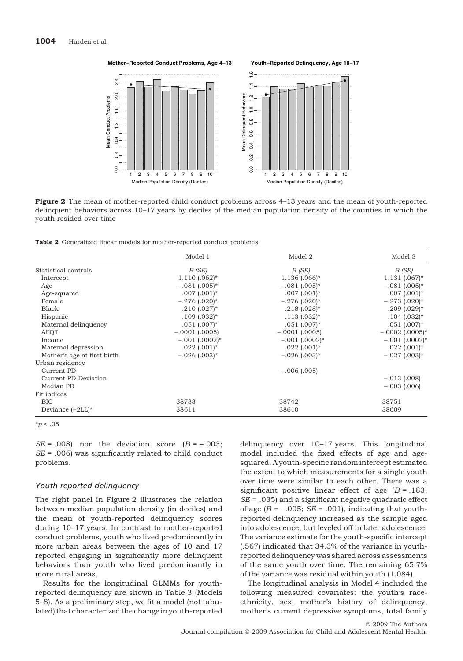

Figure 2 The mean of mother-reported child conduct problems across 4–13 years and the mean of youth-reported delinquent behaviors across 10–17 years by deciles of the median population density of the counties in which the youth resided over time

Table 2 Generalized linear models for mother-reported conduct problems

|                             | Model 1            | Model 2                     | Model 3             |
|-----------------------------|--------------------|-----------------------------|---------------------|
| Statistical controls        | B(SE)              | B(SE)                       | B(SE)               |
| Intercept                   | $1.110(.062)$ *    | $1.136$ (.066) <sup>*</sup> | $1.131(.067)$ *     |
| Age                         | $-.081(.005)*$     | $-.081(.005)*$              | $-.081(.005)*$      |
| Age-squared                 | $.007$ $(.001)*$   | $.007$ $(.001)*$            | $.007$ $(.001)*$    |
| Female                      | $-.276(.020)*$     | $-.276(.020)*$              | $-.273$ (.020)*     |
| <b>Black</b>                | $.210(.027)$ *     | $.218(.028)$ *              | $.209$ $(.029)*$    |
| Hispanic                    | $.109(.032)*$      | $.113(.032)^*$              | $.104$ $(.032)*$    |
| Maternal delinquency        | $.051(.007)$ *     | $.051(.007)$ *              | $.051(.007)^*$      |
| AFOT                        | $-.0001(.0005)$    | $-.0001$ (.0005)            | $-.0002$ $(.0005)*$ |
| Income                      | $-.001$ $(.0002)*$ | $-.001$ $(.0002)*$          | $-.001$ $(.0002)*$  |
| Maternal depression         | $.022$ $(.001)*$   | $.022$ $(.001)*$            | $.022$ $(.001)^*$   |
| Mother's age at first birth | $-.026(.003)*$     | $-.026(.003)*$              | $-.027(.003)*$      |
| Urban residency             |                    |                             |                     |
| Current PD                  |                    | $-.006(.005)$               |                     |
| Current PD Deviation        |                    |                             | $-.013$ (.008)      |
| Median PD                   |                    |                             | $-.003$ (.006)      |
| Fit indices                 |                    |                             |                     |
| <b>BIC</b>                  | 38733              | 38742                       | 38751               |
| Deviance $(-2LL)^*$         | 38611              | 38610                       | 38609               |

 $*p < .05$ 

 $SE = .008$ ) nor the deviation score  $(B = -.003;$  $SE = .006$ ) was significantly related to child conduct problems.

## Youth-reported delinquency

The right panel in Figure 2 illustrates the relation between median population density (in deciles) and the mean of youth-reported delinquency scores during 10–17 years. In contrast to mother-reported conduct problems, youth who lived predominantly in more urban areas between the ages of 10 and 17 reported engaging in significantly more delinquent behaviors than youth who lived predominantly in more rural areas.

Results for the longitudinal GLMMs for youthreported delinquency are shown in Table 3 (Models 5–8). As a preliminary step, we fit a model (not tabulated) that characterized the change in youth-reported

delinquency over 10–17 years. This longitudinal model included the fixed effects of age and agesquared. A youth-specific random intercept estimated the extent to which measurements for a single youth over time were similar to each other. There was a significant positive linear effect of age  $(B = .183;$  $SE = .035$ ) and a significant negative quadratic effect of age  $(B = -.005; SE = .001)$ , indicating that youthreported delinquency increased as the sample aged into adolescence, but leveled off in later adolescence. The variance estimate for the youth-specific intercept (.567) indicated that 34.3% of the variance in youthreported delinquency was shared across assessments of the same youth over time. The remaining 65.7% of the variance was residual within youth (1.084).

The longitudinal analysis in Model 4 included the following measured covariates: the youth's raceethnicity, sex, mother's history of delinquency, mother's current depressive symptoms, total family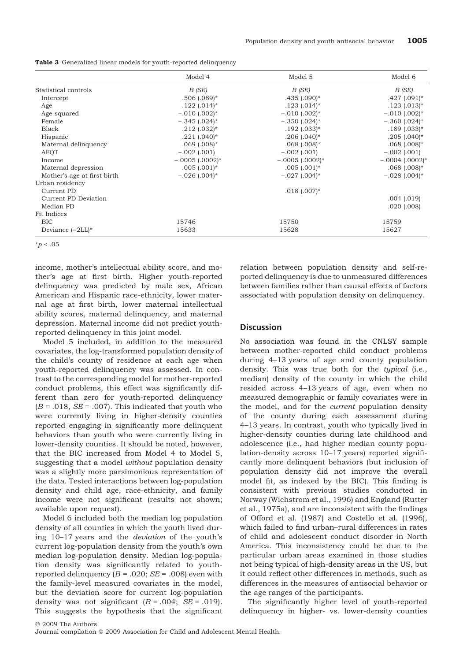Table 3 Generalized linear models for youth-reported delinquency

|                             | Model 4          | Model 5                     | Model 6                     |
|-----------------------------|------------------|-----------------------------|-----------------------------|
| Statistical controls        | B(SE)            | B(SE)                       | B(SE)                       |
| Intercept                   | $.506(.089)$ *   | $.435(.090)*$               | $.427(.091)$ *              |
| Age                         | $.122(.014)*$    | $.123$ $(.014)*$            | $.123(.013)*$               |
| Age-squared                 | $-.010(.002)*$   | $-.010$ (.002) <sup>*</sup> | $-.010$ (.002) <sup>*</sup> |
| Female                      | $-.345(.024)*$   | $-.350(.024)*$              | $-.360$ $(.024)*$           |
| <b>Black</b>                | $.212(.032)^*$   | $.192(.033)*$               | $.189(.033)*$               |
| Hispanic                    | $.221(.040)*$    | $.206$ $(.040)*$            | $.205(.040)^*$              |
| Maternal delinquency        | $.069$ $(.008)*$ | $.068(.008)*$               | $.068$ (.008) <sup>*</sup>  |
| AFOT                        | $-.002$ (.001)   | $-.002$ $(.001)$            | $-.002$ (.001)              |
| Income                      | $-.0005(.0002)*$ | $-.0005(.0002)*$            | $-.0004 (.0002)^*$          |
| Maternal depression         | $.005(.001)*$    | $.005(.001)*$               | $.068(.008)*$               |
| Mother's age at first birth | $-.026(.004)*$   | $-.027$ (.004)*             | $-.028(.004)*$              |
| Urban residency             |                  |                             |                             |
| Current PD                  |                  | $.018$ $(.007)*$            |                             |
| Current PD Deviation        |                  |                             | .004(019)                   |
| Median PD                   |                  |                             | $.020$ $(.008)$             |
| Fit Indices                 |                  |                             |                             |
| <b>BIC</b>                  | 15746            | 15750                       | 15759                       |
| Deviance $(-2LL)^*$         | 15633            | 15628                       | 15627                       |

 $*p < .05$ 

income, mother's intellectual ability score, and mother's age at first birth. Higher youth-reported delinquency was predicted by male sex, African American and Hispanic race-ethnicity, lower maternal age at first birth, lower maternal intellectual ability scores, maternal delinquency, and maternal depression. Maternal income did not predict youthreported delinquency in this joint model.

Model 5 included, in addition to the measured covariates, the log-transformed population density of the child's county of residence at each age when youth-reported delinquency was assessed. In contrast to the corresponding model for mother-reported conduct problems, this effect was significantly different than zero for youth-reported delinquency  $(B = .018, SE = .007)$ . This indicated that youth who were currently living in higher-density counties reported engaging in significantly more delinquent behaviors than youth who were currently living in lower-density counties. It should be noted, however, that the BIC increased from Model 4 to Model 5, suggesting that a model without population density was a slightly more parsimonious representation of the data. Tested interactions between log-population density and child age, race-ethnicity, and family income were not significant (results not shown; available upon request).

Model 6 included both the median log population density of all counties in which the youth lived during 10–17 years and the deviation of the youth's current log-population density from the youth's own median log-population density. Median log-population density was significantly related to youthreported delinquency ( $B = .020$ ;  $SE = .008$ ) even with the family-level measured covariates in the model, but the deviation score for current log-population density was not significant  $(B = .004; SE = .019)$ . This suggests the hypothesis that the significant relation between population density and self-reported delinquency is due to unmeasured differences between families rather than causal effects of factors associated with population density on delinquency.

## **Discussion**

No association was found in the CNLSY sample between mother-reported child conduct problems during 4–13 years of age and county population density. This was true both for the typical (i.e., median) density of the county in which the child resided across 4–13 years of age, even when no measured demographic or family covariates were in the model, and for the current population density of the county during each assessment during 4–13 years. In contrast, youth who typically lived in higher-density counties during late childhood and adolescence (i.e., had higher median county population-density across 10–17 years) reported significantly more delinquent behaviors (but inclusion of population density did not improve the overall model fit, as indexed by the BIC). This finding is consistent with previous studies conducted in Norway (Wichstrom et al., 1996) and England (Rutter et al., 1975a), and are inconsistent with the findings of Offord et al. (1987) and Costello et al. (1996), which failed to find urban–rural differences in rates of child and adolescent conduct disorder in North America. This inconsistency could be due to the particular urban areas examined in those studies not being typical of high-density areas in the US, but it could reflect other differences in methods, such as differences in the measures of antisocial behavior or the age ranges of the participants.

The significantly higher level of youth-reported delinquency in higher- vs. lower-density counties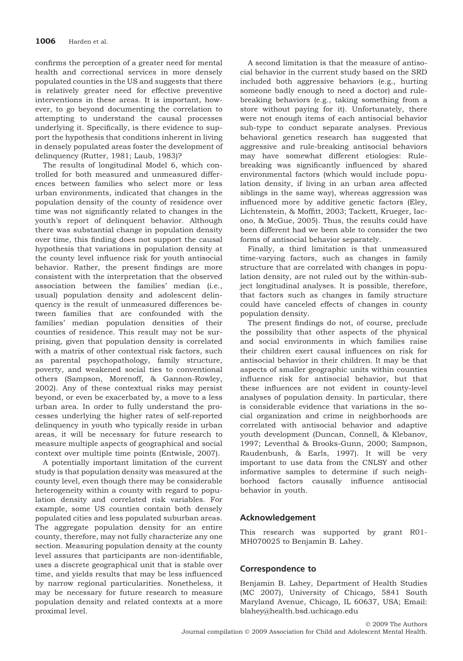confirms the perception of a greater need for mental health and correctional services in more densely populated counties in the US and suggests that there is relatively greater need for effective preventive interventions in these areas. It is important, however, to go beyond documenting the correlation to attempting to understand the causal processes underlying it. Specifically, is there evidence to support the hypothesis that conditions inherent in living in densely populated areas foster the development of delinquency (Rutter, 1981; Laub, 1983)?

The results of longitudinal Model 6, which controlled for both measured and unmeasured differences between families who select more or less urban environments, indicated that changes in the population density of the county of residence over time was not significantly related to changes in the youth's report of delinquent behavior. Although there was substantial change in population density over time, this finding does not support the causal hypothesis that variations in population density at the county level influence risk for youth antisocial behavior. Rather, the present findings are more consistent with the interpretation that the observed association between the families' median (i.e., usual) population density and adolescent delinquency is the result of unmeasured differences between families that are confounded with the families' median population densities of their counties of residence. This result may not be surprising, given that population density is correlated with a matrix of other contextual risk factors, such as parental psychopathology, family structure, poverty, and weakened social ties to conventional others (Sampson, Morenoff, & Gannon-Rowley, 2002). Any of these contextual risks may persist beyond, or even be exacerbated by, a move to a less urban area. In order to fully understand the processes underlying the higher rates of self-reported delinquency in youth who typically reside in urban areas, it will be necessary for future research to measure multiple aspects of geographical and social context over multiple time points (Entwisle, 2007).

A potentially important limitation of the current study is that population density was measured at the county level, even though there may be considerable heterogeneity within a county with regard to population density and correlated risk variables. For example, some US counties contain both densely populated cities and less populated suburban areas. The aggregate population density for an entire county, therefore, may not fully characterize any one section. Measuring population density at the county level assures that participants are non-identifiable, uses a discrete geographical unit that is stable over time, and yields results that may be less influenced by narrow regional particularities. Nonetheless, it may be necessary for future research to measure population density and related contexts at a more proximal level.

A second limitation is that the measure of antisocial behavior in the current study based on the SRD included both aggressive behaviors (e.g., hurting someone badly enough to need a doctor) and rulebreaking behaviors (e.g., taking something from a store without paying for it). Unfortunately, there were not enough items of each antisocial behavior sub-type to conduct separate analyses. Previous behavioral genetics research has suggested that aggressive and rule-breaking antisocial behaviors may have somewhat different etiologies: Rulebreaking was significantly influenced by shared environmental factors (which would include population density, if living in an urban area affected siblings in the same way), whereas aggression was influenced more by additive genetic factors (Eley, Lichtenstein, & Moffitt, 2003; Tackett, Krueger, Iacono, & McGue, 2005). Thus, the results could have been different had we been able to consider the two forms of antisocial behavior separately.

Finally, a third limitation is that unmeasured time-varying factors, such as changes in family structure that are correlated with changes in population density, are not ruled out by the within-subject longitudinal analyses. It is possible, therefore, that factors such as changes in family structure could have canceled effects of changes in county population density.

The present findings do not, of course, preclude the possibility that other aspects of the physical and social environments in which families raise their children exert causal influences on risk for antisocial behavior in their children. It may be that aspects of smaller geographic units within counties influence risk for antisocial behavior, but that these influences are not evident in county-level analyses of population density. In particular, there is considerable evidence that variations in the social organization and crime in neighborhoods are correlated with antisocial behavior and adaptive youth development (Duncan, Connell, & Klebanov, 1997; Leventhal & Brooks-Gunn, 2000; Sampson, Raudenbush, & Earls, 1997). It will be very important to use data from the CNLSY and other informative samples to determine if such neighborhood factors causally influence antisocial behavior in youth.

# Acknowledgement

This research was supported by grant R01- MH070025 to Benjamin B. Lahey.

# Correspondence to

Benjamin B. Lahey, Department of Health Studies (MC 2007), University of Chicago, 5841 South Maryland Avenue, Chicago, IL 60637, USA; Email: blahey@health.bsd.uchicago.edu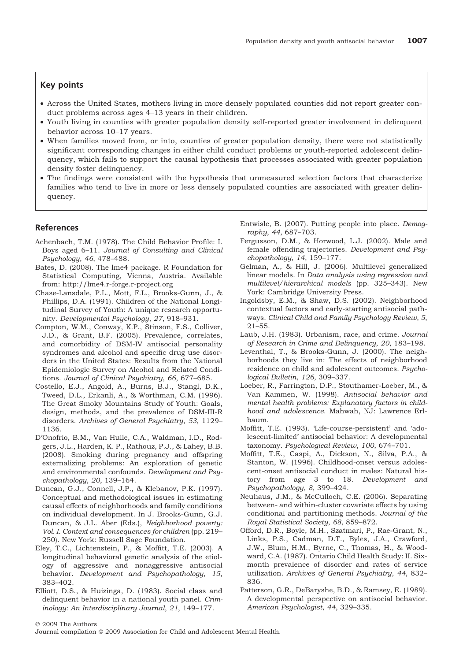# Key points

- Across the United States, mothers living in more densely populated counties did not report greater conduct problems across ages 4–13 years in their children.
- Youth living in counties with greater population density self-reported greater involvement in delinquent behavior across 10–17 years.
- When families moved from, or into, counties of greater population density, there were not statistically significant corresponding changes in either child conduct problems or youth-reported adolescent delinquency, which fails to support the causal hypothesis that processes associated with greater population density foster delinquency.
- The findings were consistent with the hypothesis that unmeasured selection factors that characterize families who tend to live in more or less densely populated counties are associated with greater delinquency.

## References

- Achenbach, T.M. (1978). The Child Behavior Profile: I. Boys aged 6–11. Journal of Consulting and Clinical Psychology, 46, 478–488.
- Bates, D. (2008). The lme4 package. R Foundation for Statistical Computing, Vienna, Austria. Available from: http://lme4.r-forge.r-project.org
- Chase-Lansdale, P.L., Mott, F.L., Brooks-Gunn, J., & Phillips, D.A. (1991). Children of the National Longitudinal Survey of Youth: A unique research opportunity. Developmental Psychology, 27, 918–931.
- Compton, W.M., Conway, K.P., Stinson, F.S., Colliver, J.D., & Grant, B.F. (2005). Prevalence, correlates, and comorbidity of DSM-IV antisocial personality syndromes and alcohol and specific drug use disorders in the United States: Results from the National Epidemiologic Survey on Alcohol and Related Conditions. Journal of Clinical Psychiatry, 66, 677–685.
- Costello, E.J., Angold, A., Burns, B.J., Stangl, D.K., Tweed, D.L., Erkanli, A., & Worthman, C.M. (1996). The Great Smoky Mountains Study of Youth: Goals, design, methods, and the prevalence of DSM-III-R disorders. Archives of General Psychiatry, 53, 1129– 1136.
- D'Onofrio, B.M., Van Hulle, C.A., Waldman, I.D., Rodgers, J.L., Harden, K. P., Rathouz, P.J., & Lahey, B.B. (2008). Smoking during pregnancy and offspring externalizing problems: An exploration of genetic and environmental confounds. Development and Psychopathology, 20, 139–164.
- Duncan, G.J., Connell, J.P., & Klebanov, P.K. (1997). Conceptual and methodological issues in estimating causal effects of neighborhoods and family conditions on individual development. In J. Brooks-Gunn, G.J. Duncan, & J.L. Aber (Eds.), Neighborhood poverty: Vol. I. Context and consequences for children (pp. 219– 250). New York: Russell Sage Foundation.
- Eley, T.C., Lichtenstein, P., & Moffitt, T.E. (2003). A longitudinal behavioral genetic analysis of the etiology of aggressive and nonaggressive antisocial behavior. Development and Psychopathology, 15, 383–402.
- Elliott, D.S., & Huizinga, D. (1983). Social class and delinquent behavior in a national youth panel. Criminology: An Interdisciplinary Journal, 21, 149–177.
- Entwisle, B. (2007). Putting people into place. Demography, 44, 687–703.
- Fergusson, D.M., & Horwood, L.J. (2002). Male and female offending trajectories. Development and Psychopathology, 14, 159–177.
- Gelman, A., & Hill, J. (2006). Multilevel generalized linear models. In Data analysis using regression and multilevel/hierarchical models (pp. 325–343). New York: Cambridge University Press.
- Ingoldsby, E.M., & Shaw, D.S. (2002). Neighborhood contextual factors and early-starting antisocial pathways. Clinical Child and Family Psychology Review, 5, 21–55.
- Laub, J.H. (1983). Urbanism, race, and crime. Journal of Research in Crime and Delinquency, 20, 183–198.
- Leventhal, T., & Brooks-Gunn, J. (2000). The neighborhoods they live in: The effects of neighborhood residence on child and adolescent outcomes. Psychological Bulletin, 126, 309–337.
- Loeber, R., Farrington, D.P., Stouthamer-Loeber, M., & Van Kammen, W. (1998). Antisocial behavior and mental health problems: Explanatory factors in childhood and adolescence. Mahwah, NJ: Lawrence Erlbaum.
- Moffitt, T.E. (1993). 'Life-course-persistent' and 'adolescent-limited' antisocial behavior: A developmental taxonomy. Psychological Review, 100, 674–701.
- Moffitt, T.E., Caspi, A., Dickson, N., Silva, P.A., & Stanton, W. (1996). Childhood-onset versus adolescent-onset antisocial conduct in males: Natural history from age 3 to 18. Development and Psychopathology, 8, 399–424.
- Neuhaus, J.M., & McCulloch, C.E. (2006). Separating between- and within-cluster covariate effects by using conditional and partitioning methods. Journal of the Royal Statistical Society, 68, 859–872.
- Offord, D.R., Boyle, M.H., Szatmari, P., Rae-Grant, N., Links, P.S., Cadman, D.T., Byles, J.A., Crawford, J.W., Blum, H.M., Byrne, C., Thomas, H., & Woodward, C.A. (1987). Ontario Child Health Study: II. Sixmonth prevalence of disorder and rates of service utilization. Archives of General Psychiatry, 44, 832– 836.
- Patterson, G.R., DeBaryshe, B.D., & Ramsey, E. (1989). A developmental perspective on antisocial behavior. American Psychologist, 44, 329–335.